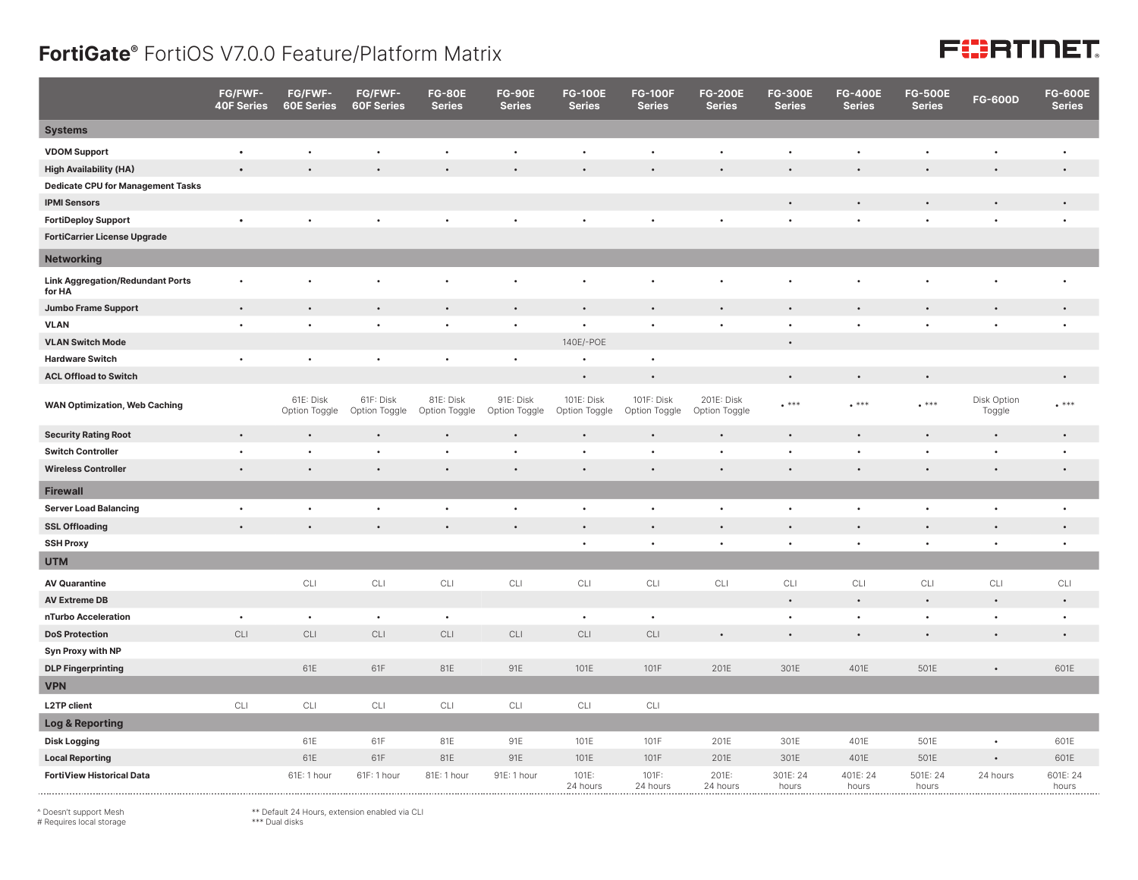## **FortiGate®** FortiOS V7.0.0 Feature/Platform Matrix

## **FEERTINET**

|                                                   | FG/FWF-<br><b>40F Series</b> | FG/FWF-<br><b>60E Series</b> | FG/FWF-<br><b>60F Series</b> | <b>FG-80E</b><br><b>Series</b> | <b>FG-90E</b><br><b>Series</b> | <b>FG-100E</b><br><b>Series</b> | <b>FG-100F</b><br><b>Series</b> | <b>FG-200E</b><br><b>Series</b> | <b>FG-300E</b><br><b>Series</b> | <b>FG-400E</b><br><b>Series</b> | <b>FG-500E</b><br><b>Series</b> | <b>FG-600D</b>        | <b>FG-600E</b><br><b>Series</b> |
|---------------------------------------------------|------------------------------|------------------------------|------------------------------|--------------------------------|--------------------------------|---------------------------------|---------------------------------|---------------------------------|---------------------------------|---------------------------------|---------------------------------|-----------------------|---------------------------------|
| <b>Systems</b>                                    |                              |                              |                              |                                |                                |                                 |                                 |                                 |                                 |                                 |                                 |                       |                                 |
| <b>VDOM Support</b>                               | $\bullet$                    | $\bullet$                    | $\bullet$                    | $\bullet$                      | $\bullet$                      | $\bullet$                       | $\bullet$                       | $\bullet$                       | $\bullet$                       | $\bullet$                       | $\bullet$                       | ٠                     | $\bullet$                       |
| <b>High Availability (HA)</b>                     |                              |                              |                              |                                |                                |                                 |                                 |                                 |                                 | $\bullet$                       |                                 |                       | $\bullet$                       |
| <b>Dedicate CPU for Management Tasks</b>          |                              |                              |                              |                                |                                |                                 |                                 |                                 |                                 |                                 |                                 |                       |                                 |
| <b>IPMI Sensors</b>                               |                              |                              |                              |                                |                                |                                 |                                 |                                 |                                 | $\bullet$                       | $\bullet$                       |                       | $\bullet$                       |
| <b>FortiDeploy Support</b>                        |                              |                              |                              |                                |                                |                                 |                                 |                                 |                                 | $\bullet$                       | $\bullet$                       |                       | $\bullet$                       |
| <b>FortiCarrier License Upgrade</b>               |                              |                              |                              |                                |                                |                                 |                                 |                                 |                                 |                                 |                                 |                       |                                 |
| <b>Networking</b>                                 |                              |                              |                              |                                |                                |                                 |                                 |                                 |                                 |                                 |                                 |                       |                                 |
| <b>Link Aggregation/Redundant Ports</b><br>for HA |                              |                              |                              |                                |                                |                                 |                                 |                                 |                                 |                                 |                                 |                       | $\bullet$                       |
| <b>Jumbo Frame Support</b>                        | $\bullet$                    | $\bullet$                    |                              |                                | $\bullet$                      |                                 | $\bullet$                       | $\bullet$                       |                                 |                                 |                                 |                       | $\bullet$                       |
| <b>VLAN</b>                                       | $\bullet$                    | $\bullet$                    | $\bullet$                    | $\bullet$                      | $\bullet$                      |                                 | $\ddot{\phantom{0}}$            | $\bullet$                       |                                 | $\bullet$                       | $\bullet$                       | $\bullet$             | $\bullet$                       |
| <b>VLAN Switch Mode</b>                           |                              |                              |                              |                                |                                | 140E/-POE                       |                                 |                                 |                                 |                                 |                                 |                       |                                 |
| <b>Hardware Switch</b>                            | $\bullet$                    | $\bullet$                    | $\bullet$                    | $\bullet$                      | $\bullet$                      | $\bullet$                       | $\bullet$                       |                                 |                                 |                                 |                                 |                       |                                 |
| <b>ACL Offload to Switch</b>                      |                              |                              |                              |                                |                                | $\bullet$                       | $\bullet$                       |                                 | $\bullet$                       | $\bullet$                       | $\bullet$                       |                       | $\bullet$                       |
| <b>WAN Optimization, Web Caching</b>              |                              | 61E: Disk<br>Option Toggle   | 61F: Disk<br>Option Toggle   | 81E: Disk<br>Option Toggle     | 91E: Disk<br>Option Toggle     | 101E: Disk<br>Option Toggle     | 101F: Disk<br>Option Toggle     | 201E: Disk<br>Option Toggle     | $***$                           | $***$                           | $\cdot$ ***                     | Disk Option<br>Toggle | $***$                           |
| <b>Security Rating Root</b>                       | $\bullet$                    | $\bullet$                    |                              |                                |                                | $\bullet$                       | $\bullet$                       | $\bullet$                       |                                 | $\bullet$                       | $\bullet$                       | $\bullet$             | $\bullet$                       |
| <b>Switch Controller</b>                          | $\bullet$                    | $\bullet$                    | ٠                            | $\bullet$                      | $\bullet$                      | $\bullet$                       | $\bullet$                       | ٠                               |                                 | $\bullet$                       | $\bullet$                       | $\bullet$             | $\bullet$                       |
| <b>Wireless Controller</b>                        | $\bullet$                    | $\bullet$                    | $\bullet$                    |                                | $\bullet$                      | $\bullet$                       | $\bullet$                       | $\bullet$                       | $\bullet$                       | $\bullet$                       | $\bullet$                       | $\bullet$             | $\bullet$                       |
| <b>Firewall</b>                                   |                              |                              |                              |                                |                                |                                 |                                 |                                 |                                 |                                 |                                 |                       |                                 |
| <b>Server Load Balancing</b>                      | $\bullet$                    | $\bullet$                    | $\bullet$                    | $\bullet$                      | $\bullet$                      | $\bullet$                       | $\bullet$                       | $\bullet$                       | $\bullet$                       | $\bullet$                       | $\bullet$                       | ٠                     | $\bullet$                       |
| <b>SSL Offloading</b>                             |                              | $\bullet$                    | $\bullet$                    |                                | $\bullet$                      | $\bullet$                       | $\bullet$                       | $\bullet$                       |                                 | $\bullet$                       | $\bullet$                       |                       | $\bullet$                       |
| <b>SSH Proxy</b>                                  |                              |                              |                              |                                |                                | $\bullet$                       | $\bullet$                       | $\bullet$                       | $\bullet$                       | $\bullet$                       | $\bullet$                       | $\bullet$             | $\bullet$                       |
| <b>UTM</b>                                        |                              |                              |                              |                                |                                |                                 |                                 |                                 |                                 |                                 |                                 |                       |                                 |
| <b>AV Quarantine</b>                              |                              | CLI                          | CLI                          | CLI                            | CLI                            | CLI                             | CLI                             | CLI                             | CLI                             | CLI                             | CLI                             | CLI                   | CLI                             |
| <b>AV Extreme DB</b>                              |                              |                              |                              |                                |                                |                                 |                                 |                                 | $\bullet$                       | $\bullet$                       | $\bullet$                       | $\bullet$             | $\bullet$                       |
| nTurbo Acceleration                               | $\bullet$                    | $\bullet$                    | $\bullet$                    | $\bullet$                      |                                | $\bullet$                       | $\bullet$                       |                                 |                                 | $\bullet$                       | $\bullet$                       |                       | $\bullet$                       |
| <b>DoS Protection</b>                             | CLI                          | CLI                          | CLI                          | CLI                            | CLI                            | CLI                             | CLI                             | $\bullet$                       |                                 | $\bullet$                       |                                 | $\bullet$             | $\bullet$                       |
| Syn Proxy with NP                                 |                              |                              |                              |                                |                                |                                 |                                 |                                 |                                 |                                 |                                 |                       |                                 |
| <b>DLP Fingerprinting</b>                         |                              | 61E                          | 61F                          | 81E                            | 91E                            | 101E                            | 101F                            | 201E                            | 301E                            | 401E                            | 501E                            | $\bullet$             | 601E                            |
| <b>VPN</b>                                        |                              |                              |                              |                                |                                |                                 |                                 |                                 |                                 |                                 |                                 |                       |                                 |
| <b>L2TP client</b>                                | CLI                          | $CLI$                        | CLI                          | CLI                            | CLI                            | $\mathsf{CLI}$                  | CLI                             |                                 |                                 |                                 |                                 |                       |                                 |
| <b>Log &amp; Reporting</b>                        |                              |                              |                              |                                |                                |                                 |                                 |                                 |                                 |                                 |                                 |                       |                                 |
| <b>Disk Logging</b>                               |                              | 61E                          | 61F                          | 81E                            | 91E                            | 101E                            | 101F                            | 201E                            | 301E                            | 401E                            | 501E                            | $\bullet$             | 601E                            |
| <b>Local Reporting</b>                            |                              | 61E                          | 61F                          | 81E                            | 91E                            | 101E                            | 101F                            | 201E                            | 301E                            | 401E                            | 501E                            | $\bullet$             | 601E                            |
| <b>FortiView Historical Data</b>                  |                              | 61E: 1 hour                  | 61F: 1 hour                  | 81E: 1 hour                    | 91E: 1 hour                    | 101E:<br>24 hours               | 101F:<br>24 hours               | 201E:<br>24 hours               | 301E: 24<br>hours               | 401E: 24<br>hours               | 501E: 24<br>hours               | 24 hours              | 601E: 24<br>hours               |

^ Doesn't support Mesh # Requires local storage

\*\* Default 24 Hours, extension enabled via CLI \*\*\* Dual disks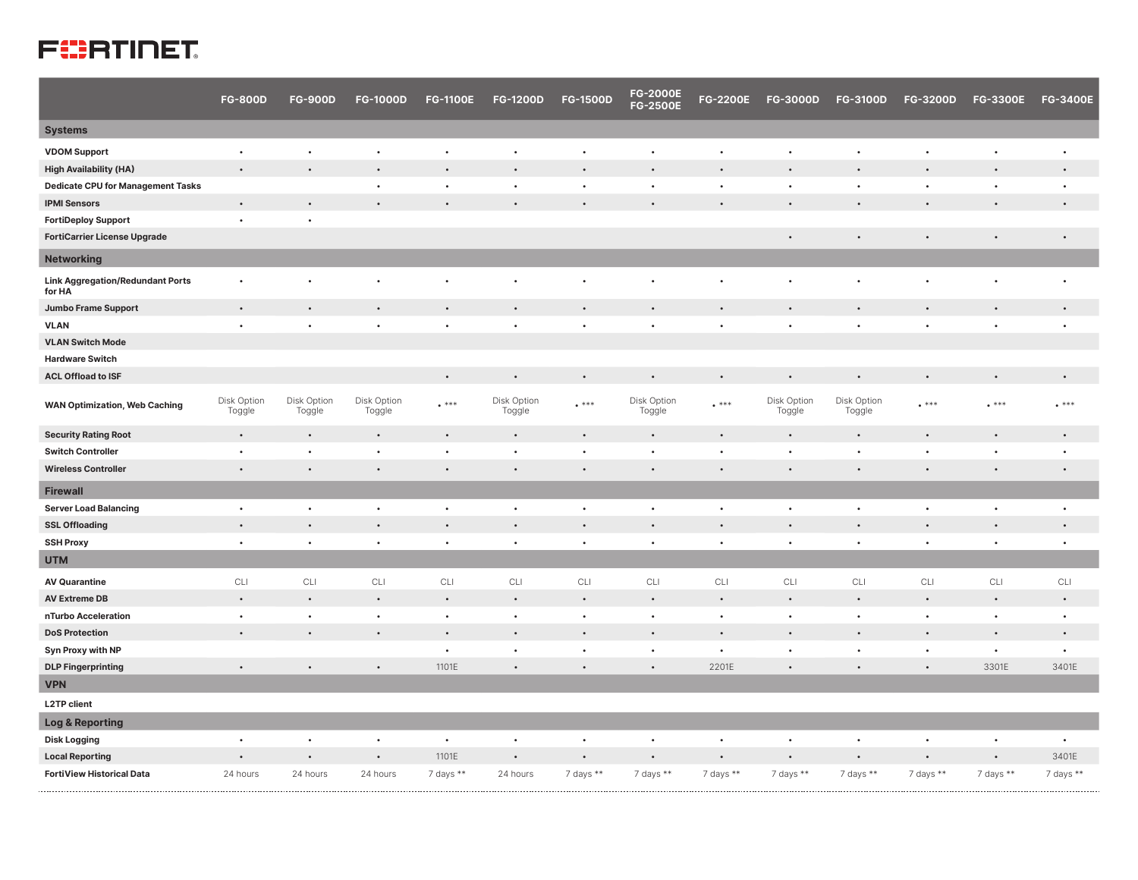## **FURTIDET**

|                                                   | <b>FG-800D</b>        | <b>FG-900D</b>        | <b>FG-1000D</b>       | <b>FG-1100E</b> | <b>FG-1200D</b>       | <b>FG-1500D</b>      | <b>FG-2000E</b><br><b>FG-2500E</b> | <b>FG-2200E</b> | <b>FG-3000D</b>       | <b>FG-3100D</b>       | <b>FG-3200D</b> | <b>FG-3300E</b> | <b>FG-3400E</b> |
|---------------------------------------------------|-----------------------|-----------------------|-----------------------|-----------------|-----------------------|----------------------|------------------------------------|-----------------|-----------------------|-----------------------|-----------------|-----------------|-----------------|
| <b>Systems</b>                                    |                       |                       |                       |                 |                       |                      |                                    |                 |                       |                       |                 |                 |                 |
| <b>VDOM Support</b>                               | $\bullet$             | $\bullet$             | $\bullet$             | $\bullet$       |                       | $\bullet$            | $\bullet$                          | ٠               | $\ddot{\phantom{0}}$  |                       | $\bullet$       | $\bullet$       | $\bullet$       |
| <b>High Availability (HA)</b>                     | $\bullet$             |                       | $\bullet$             | $\bullet$       |                       | $\bullet$            |                                    | $\bullet$       | $\bullet$             |                       | $\bullet$       |                 | $\bullet$       |
| <b>Dedicate CPU for Management Tasks</b>          |                       |                       | $\bullet$             | $\bullet$       | $\bullet$             | $\bullet$            | $\bullet$                          | $\bullet$       | $\bullet$             | $\bullet$             | $\bullet$       | $\bullet$       | $\bullet$       |
| <b>IPMI Sensors</b>                               | $\bullet$             | $\bullet$             |                       | $\bullet$       |                       | $\bullet$            |                                    | $\bullet$       | $\bullet$             |                       | $\bullet$       |                 | $\bullet$       |
| <b>FortiDeploy Support</b>                        | $\bullet$             | $\bullet$             |                       |                 |                       |                      |                                    |                 |                       |                       |                 |                 |                 |
| <b>FortiCarrier License Upgrade</b>               |                       |                       |                       |                 |                       |                      |                                    |                 | $\bullet$             |                       | $\bullet$       |                 | $\bullet$       |
| <b>Networking</b>                                 |                       |                       |                       |                 |                       |                      |                                    |                 |                       |                       |                 |                 |                 |
| <b>Link Aggregation/Redundant Ports</b><br>for HA | ٠                     |                       |                       | $\bullet$       |                       | ٠                    |                                    | ٠               | $\bullet$             |                       | $\bullet$       |                 | ٠               |
| <b>Jumbo Frame Support</b>                        | $\bullet$             |                       |                       | $\bullet$       |                       | $\bullet$            | $\bullet$                          | $\bullet$       |                       |                       | $\bullet$       | $\bullet$       | $\bullet$       |
| <b>VLAN</b>                                       | $\bullet$             | $\bullet$             | $\bullet$             | $\bullet$       | $\bullet$             | $\bullet$            | $\bullet$                          | $\bullet$       | $\bullet$             | $\bullet$             | $\bullet$       | $\bullet$       | $\bullet$       |
| <b>VLAN Switch Mode</b>                           |                       |                       |                       |                 |                       |                      |                                    |                 |                       |                       |                 |                 |                 |
| <b>Hardware Switch</b>                            |                       |                       |                       |                 |                       |                      |                                    |                 |                       |                       |                 |                 |                 |
| <b>ACL Offload to ISF</b>                         |                       |                       |                       | $\bullet$       |                       | $\bullet$            |                                    | $\bullet$       | $\bullet$             |                       | $\bullet$       |                 | $\bullet$       |
| <b>WAN Optimization, Web Caching</b>              | Disk Option<br>Toggle | Disk Option<br>Toggle | Disk Option<br>Toggle | $***$           | Disk Option<br>Toggle | $****$               | Disk Option<br>Toggle              | $***$           | Disk Option<br>Toggle | Disk Option<br>Toggle | $****$          | $****$          | $**$            |
| <b>Security Rating Root</b>                       | $\bullet$             |                       | $\bullet$             | $\bullet$       | $\bullet$             | $\bullet$            | $\bullet$                          | $\bullet$       | $\bullet$             |                       | $\bullet$       |                 | $\bullet$       |
| <b>Switch Controller</b>                          | $\bullet$             | $\bullet$             | $\bullet$             | $\bullet$       | $\bullet$             | $\ddot{\phantom{a}}$ | $\bullet$                          | $\bullet$       | $\bullet$             |                       | $\bullet$       | $\bullet$       | $\bullet$       |
| <b>Wireless Controller</b>                        | $\bullet$             |                       | $\bullet$             | $\bullet$       | $\bullet$             | $\bullet$            | $\bullet$                          | $\bullet$       | $\bullet$             |                       | $\bullet$       |                 | $\bullet$       |
| <b>Firewall</b>                                   |                       |                       |                       |                 |                       |                      |                                    |                 |                       |                       |                 |                 |                 |
| <b>Server Load Balancing</b>                      | $\bullet$             | $\bullet$             | $\bullet$             | $\bullet$       | $\bullet$             | $\bullet$            | $\bullet$                          | $\bullet$       | $\bullet$             | $\bullet$             | $\bullet$       | $\bullet$       | $\bullet$       |
| <b>SSL Offloading</b>                             | $\bullet$             | $\bullet$             | $\bullet$             | $\bullet$       | $\bullet$             | $\bullet$            | $\bullet$                          | $\bullet$       | $\bullet$             |                       | $\bullet$       | $\bullet$       | $\bullet$       |
| <b>SSH Proxy</b>                                  | $\bullet$             | $\bullet$             | $\bullet$             | $\bullet$       | $\bullet$             | $\bullet$            | $\bullet$                          | $\bullet$       | $\bullet$             | $\bullet$             | $\bullet$       | $\bullet$       | $\bullet$       |
| <b>UTM</b>                                        |                       |                       |                       |                 |                       |                      |                                    |                 |                       |                       |                 |                 |                 |
| <b>AV Quarantine</b>                              | CLI                   | CLI                   | CLI                   | CLI             | CLI                   | CLI                  | CLI                                | CLI             | CLI                   | CLI                   | CLI             | CLI             | CLI             |
| <b>AV Extreme DB</b>                              | $\bullet$             | $\bullet$             | $\bullet$             | $\bullet$       | $\bullet$             | $\bullet$            | $\bullet$                          | $\bullet$       | $\bullet$             |                       | $\bullet$       | $\bullet$       | $\bullet$       |
| nTurbo Acceleration                               | $\bullet$             | $\bullet$             | $\bullet$             | $\bullet$       | $\bullet$             | $\bullet$            | $\bullet$                          | $\bullet$       | $\bullet$             | $\bullet$             | $\bullet$       | $\bullet$       | $\bullet$       |
| <b>DoS Protection</b>                             | $\bullet$             | $\bullet$             | $\bullet$             | $\bullet$       | $\bullet$             | $\bullet$            | $\bullet$                          | $\bullet$       | $\bullet$             |                       | $\bullet$       |                 | $\bullet$       |
| Syn Proxy with NP                                 |                       |                       |                       | $\bullet$       | $\bullet$             | $\bullet$            | $\bullet$                          | $\bullet$       | $\bullet$             | $\bullet$             | $\bullet$       | $\bullet$       | $\bullet$       |
| <b>DLP Fingerprinting</b>                         | $\bullet$             |                       | $\bullet$             | 1101E           |                       | $\bullet$            |                                    | 2201E           |                       |                       | $\bullet$       | 3301E           | 3401E           |
| <b>VPN</b>                                        |                       |                       |                       |                 |                       |                      |                                    |                 |                       |                       |                 |                 |                 |
| <b>L2TP client</b>                                |                       |                       |                       |                 |                       |                      |                                    |                 |                       |                       |                 |                 |                 |
| Log & Reporting                                   |                       |                       |                       |                 |                       |                      |                                    |                 |                       |                       |                 |                 |                 |
| <b>Disk Logging</b>                               | $\bullet$             | $\bullet$             | $\bullet$             | $\bullet$       | $\bullet$             | $\bullet$            | $\bullet$                          | $\bullet$       | $\bullet$             | $\bullet$             | $\bullet$       | $\bullet$       | $\bullet$       |
| <b>Local Reporting</b>                            | $\bullet$             |                       | $\bullet$             | 1101E           | $\bullet$             | $\bullet$            | $\bullet$                          | $\bullet$       | $\bullet$             | $\bullet$             | $\bullet$       | $\bullet$       | 3401E           |
| <b>FortiView Historical Data</b>                  | 24 hours              | 24 hours              | 24 hours              | 7 days **       | 24 hours              | 7 days **            | 7 days **                          | 7 days **       | 7 days **             | 7 days **             | 7 days **       | 7 days **       | 7 days $**$     |